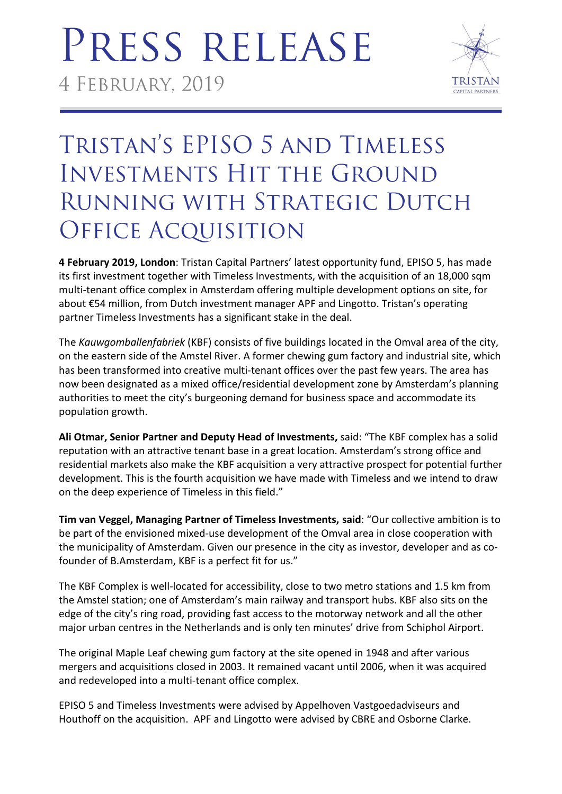## PRESS RELEASE 4 FEBRUARY, 2019



### TRISTAN'S EPISO 5 AND TIMELESS **INVESTMENTS HIT THE GROUND** RUNNING WITH STRATEGIC DUTCH **OFFICE ACQUISITION**

**4 February 2019, London**: Tristan Capital Partners' latest opportunity fund, EPISO 5, has made its first investment together with Timeless Investments, with the acquisition of an 18,000 sqm multi-tenant office complex in Amsterdam offering multiple development options on site, for about €54 million, from Dutch investment manager APF and Lingotto. Tristan's operating partner Timeless Investments has a significant stake in the deal.

The *Kauwgomballenfabriek* (KBF) consists of five buildings located in the Omval area of the city, on the eastern side of the Amstel River. A former chewing gum factory and industrial site, which has been transformed into creative multi-tenant offices over the past few years. The area has now been designated as a mixed office/residential development zone by Amsterdam's planning authorities to meet the city's burgeoning demand for business space and accommodate its population growth.

**Ali Otmar, Senior Partner and Deputy Head of Investments,** said: "The KBF complex has a solid reputation with an attractive tenant base in a great location. Amsterdam's strong office and residential markets also make the KBF acquisition a very attractive prospect for potential further development. This is the fourth acquisition we have made with Timeless and we intend to draw on the deep experience of Timeless in this field."

**Tim van Veggel, Managing Partner of Timeless Investments, said**: "Our collective ambition is to be part of the envisioned mixed-use development of the Omval area in close cooperation with the municipality of Amsterdam. Given our presence in the city as investor, developer and as cofounder of B.Amsterdam, KBF is a perfect fit for us."

The KBF Complex is well-located for accessibility, close to two metro stations and 1.5 km from the Amstel station; one of Amsterdam's main railway and transport hubs. KBF also sits on the edge of the city's ring road, providing fast access to the motorway network and all the other major urban centres in the Netherlands and is only ten minutes' drive from Schiphol Airport.

The original Maple Leaf chewing gum factory at the site opened in 1948 and after various mergers and acquisitions closed in 2003. It remained vacant until 2006, when it was acquired and redeveloped into a multi-tenant office complex.

EPISO 5 and Timeless Investments were advised by Appelhoven Vastgoedadviseurs and Houthoff on the acquisition. APF and Lingotto were advised by CBRE and Osborne Clarke.